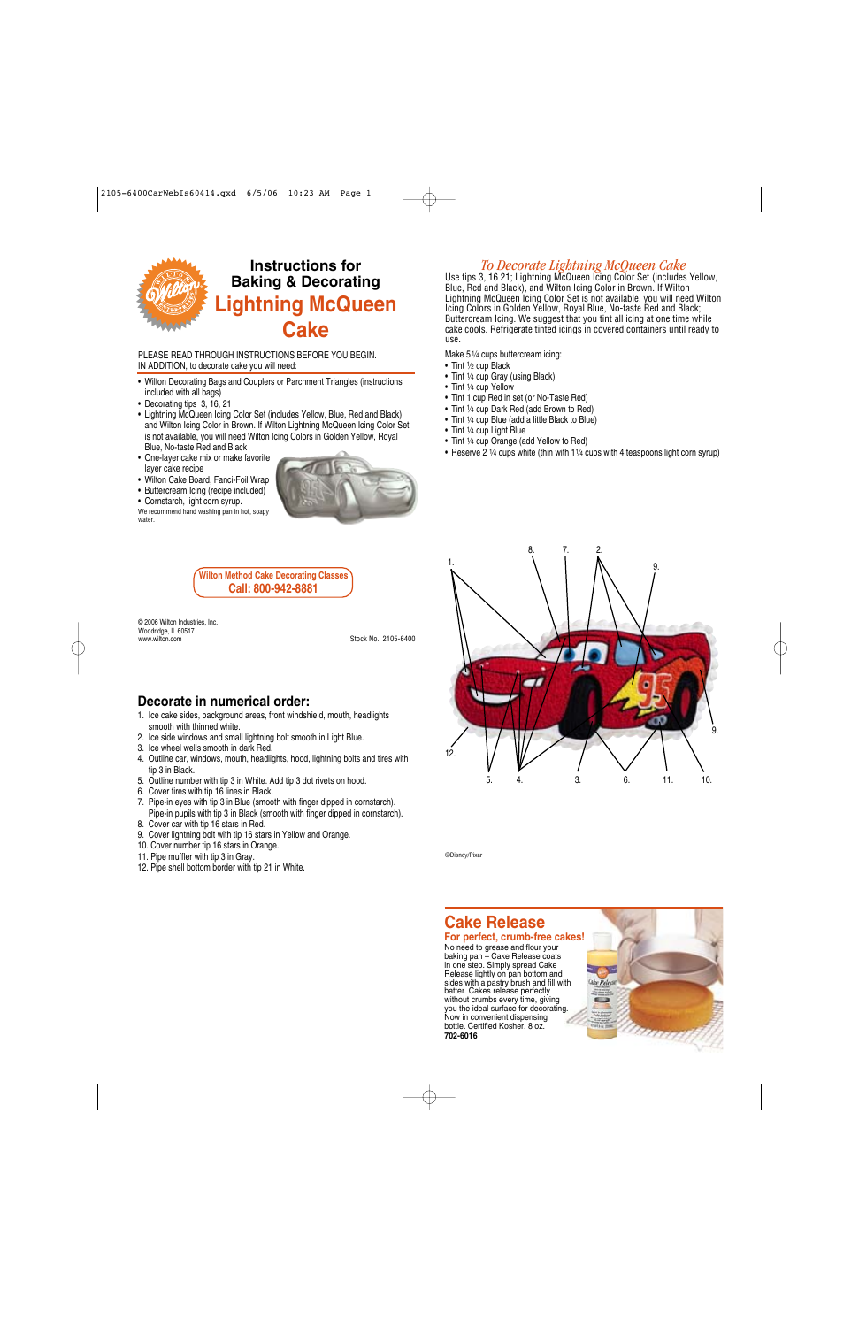

# **Instructions for Baking & Decorating Lightning McQueen Cake**

PLEASE READ THROUGH INSTRUCTIONS BEFORE YOU BEGIN. IN ADDITION, to decorate cake you will need:

- Wilton Decorating Bags and Couplers or Parchment Triangles (instructions included with all bags)
- Decorating tips 3, 16, 21
- Lightning McQueen Icing Color Set (includes Yellow, Blue, Red and Black), and Wilton Icing Color in Brown. If Wilton Lightning McQueen Icing Color Set is not available, you will need Wilton Icing Colors in Golden Yellow, Royal Blue, No-taste Red and Black
- One-layer cake mix or make favorite layer cake recipe
- Wilton Cake Board, Fanci-Foil Wrap
- Buttercream Icing (recipe included)

• Cornstarch, light corn syrup. We recommend hand washing pan in hot, soapy water.



**Wilton Method Cake Decorating Classes Call: 800-942-8881**

© 2006 Wilton Industries, Inc. Woodridge, II. 60517<br>www.wilton.com

Stock No. 2105-6400

### **Decorate in numerical order:**

- 1. Ice cake sides, background areas, front windshield, mouth, headlights smooth with thinned white.
- 2. Ice side windows and small lightning bolt smooth in Light Blue.
- 3. Ice wheel wells smooth in dark Red.
- 4. Outline car, windows, mouth, headlights, hood, lightning bolts and tires with tip 3 in Black.
- 5. Outline number with tip 3 in White. Add tip 3 dot rivets on hood.
- 6. Cover tires with tip 16 lines in Black.
- 7. Pipe-in eyes with tip 3 in Blue (smooth with finger dipped in cornstarch). Pipe-in pupils with tip 3 in Black (smooth with finger dipped in cornstarch).
- 8. Cover car with tip 16 stars in Red.
- 9. Cover lightning bolt with tip 16 stars in Yellow and Orange.
- 10. Cover number tip 16 stars in Orange.
- 11. Pipe muffler with tip 3 in Gray.
- 12. Pipe shell bottom border with tip 21 in White.

## *To Decorate Lightning McQueen Cake*

Use tips 3, 16 21; Lightning McQueen Icing Color Set (includes Yellow, Blue, Red and Black), and Wilton Icing Color in Brown. If Wilton Lightning McQueen Icing Color Set is not available, you will need Wilton Icing Colors in Golden Yellow, Royal Blue, No-taste Red and Black; Buttercream Icing. We suggest that you tint all icing at one time while cake cools. Refrigerate tinted icings in covered containers until ready to use.

Make 51⁄4 cups buttercream icing:

- Tint 1⁄2 cup Black
- Tint 1/4 cup Gray (using Black)
- Tint 1/4 cup Yellow
- Tint 1 cup Red in set (or No-Taste Red)
- Tint 1⁄4 cup Dark Red (add Brown to Red)
- Tint 1/4 cup Blue (add a little Black to Blue)
- Tint 1/4 cup Light Blue
- Tint 1/4 cup Orange (add Yellow to Red)
- Reserve 2 1/4 cups white (thin with 11/4 cups with 4 teaspoons light corn syrup)



©Disney/Pixar

## **Cake Release**

#### **For perfect, crumb-free cakes!**

No need to grease and flour your baking pan – Cake Release coats in one step. Simply spread Cake Release lightly on pan bottom and sides with a pastry brush and fill with batter. Cakes release perfectly without crumbs every time, giving you the ideal surface for decorating. Now in convenient dispensing bottle. Certified Kosher. 8 oz. **702-6016** 

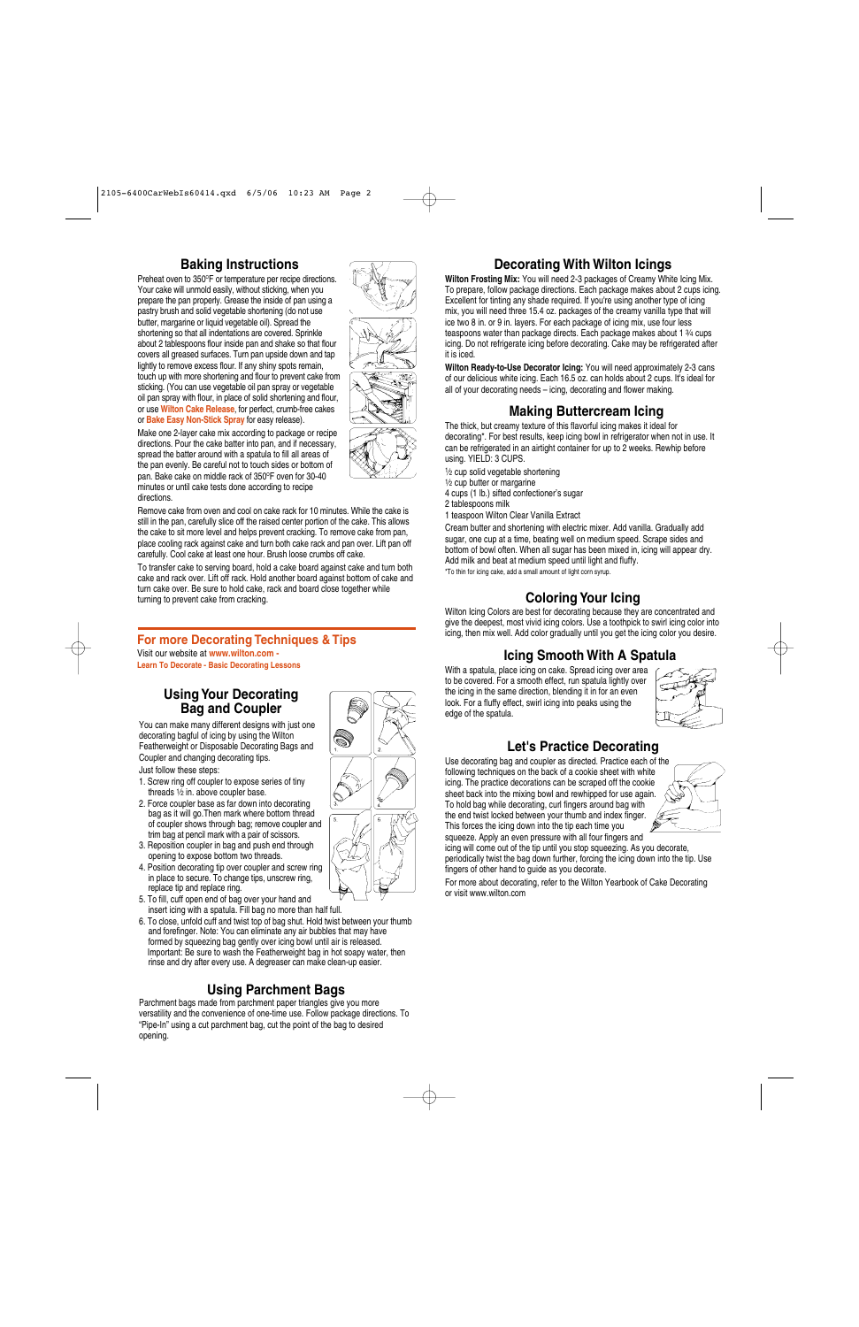#### **Baking Instructions**

Preheat oven to 350°F or temperature per recipe directions. Your cake will unmold easily, without sticking, when you prepare the pan properly. Grease the inside of pan using a pastry brush and solid vegetable shortening (do not use butter, margarine or liquid vegetable oil). Spread the shortening so that all indentations are covered. Sprinkle about 2 tablespoons flour inside pan and shake so that flour covers all greased surfaces. Turn pan upside down and tap lightly to remove excess flour. If any shiny spots remain, touch up with more shortening and flour to prevent cake from sticking. (You can use vegetable oil pan spray or vegetable oil pan spray with flour, in place of solid shortening and flour, or use **Wilton Cake Release**, for perfect, crumb-free cakes or **Bake Easy Non-Stick Spray** for easy release).



Make one 2-layer cake mix according to package or recipe directions. Pour the cake batter into pan, and if necessary, spread the batter around with a spatula to fill all areas of the pan evenly. Be careful not to touch sides or bottom of pan. Bake cake on middle rack of 350°F oven for 30-40 minutes or until cake tests done according to recipe directions.

Remove cake from oven and cool on cake rack for 10 minutes. While the cake is still in the pan, carefully slice off the raised center portion of the cake. This allows the cake to sit more level and helps prevent cracking. To remove cake from pan, place cooling rack against cake and turn both cake rack and pan over. Lift pan off carefully. Cool cake at least one hour. Brush loose crumbs off cake.

To transfer cake to serving board, hold a cake board against cake and turn both cake and rack over. Lift off rack. Hold another board against bottom of cake and turn cake over. Be sure to hold cake, rack and board close together while turning to prevent cake from cracking.

#### **For more Decorating Techniques & Tips**

Visit our website at **www.wilton.com - Learn To Decorate - Basic Decorating Lessons**

#### **Using Your Decorating Bag and Coupler**

You can make many different designs with just one decorating bagful of icing by using the Wilton Featherweight or Disposable Decorating Bags and Coupler and changing decorating tips.

Just follow these steps:

- 1. Screw ring off coupler to expose series of tiny threads  $\frac{1}{2}$  in. above coupler base.
- 2. Force coupler base as far down into decorating bag as it will go.Then mark where bottom thread of coupler shows through bag; remove coupler and trim bag at pencil mark with a pair of scissors.
- 3. Reposition coupler in bag and push end through opening to expose bottom two threads.
- 4. Position decorating tip over coupler and screw ring in place to secure. To change tips, unscrew ring, replace tip and replace ring.
- 5. To fill, cuff open end of bag over your hand and insert icing with a spatula. Fill bag no more than half full.
- 6. To close, unfold cuff and twist top of bag shut. Hold twist between your thumb and forefinger. Note: You can eliminate any air bubbles that may have formed by squeezing bag gently over icing bowl until air is released. Important: Be sure to wash the Featherweight bag in hot soapy water, then rinse and dry after every use. A degreaser can make clean-up easier.

### **Using Parchment Bags**

Parchment bags made from parchment paper triangles give you more versatility and the convenience of one-time use. Follow package directions. To "Pipe-In" using a cut parchment bag, cut the point of the bag to desired opening.

### **Decorating With Wilton Icings**

**Wilton Frosting Mix:** You will need 2-3 packages of Creamy White Icing Mix. To prepare, follow package directions. Each package makes about 2 cups icing. Excellent for tinting any shade required. If you're using another type of icing mix, you will need three 15.4 oz. packages of the creamy vanilla type that will ice two 8 in. or 9 in. layers. For each package of icing mix, use four less teaspoons water than package directs. Each package makes about 1 3⁄4 cups icing. Do not refrigerate icing before decorating. Cake may be refrigerated after it is iced.

**Wilton Ready-to-Use Decorator Icing:** You will need approximately 2-3 cans of our delicious white icing. Each 16.5 oz. can holds about 2 cups. It's ideal for all of your decorating needs – icing, decorating and flower making.

#### **Making Buttercream Icing**

The thick, but creamy texture of this flavorful icing makes it ideal for decorating\*. For best results, keep icing bowl in refrigerator when not in use. It can be refrigerated in an airtight container for up to 2 weeks. Rewhip before using. YIELD: 3 CUPS.

1⁄2 cup solid vegetable shortening

1⁄2 cup butter or margarine

4 cups (1 lb.) sifted confectioner's sugar

2 tablespoons milk

1 teaspoon Wilton Clear Vanilla Extract

Cream butter and shortening with electric mixer. Add vanilla. Gradually add sugar, one cup at a time, beating well on medium speed. Scrape sides and bottom of bowl often. When all sugar has been mixed in, icing will appear dry. Add milk and beat at medium speed until light and fluffy.

\*To thin for icing cake, add a small amount of light corn syrup.

### **Coloring Your Icing**

Wilton Icing Colors are best for decorating because they are concentrated and give the deepest, most vivid icing colors. Use a toothpick to swirl icing color into icing, then mix well. Add color gradually until you get the icing color you desire.

### **Icing Smooth With A Spatula**

With a spatula, place icing on cake. Spread icing over area to be covered. For a smooth effect, run spatula lightly over the icing in the same direction, blending it in for an even look. For a fluffy effect, swirl icing into peaks using the edge of the spatula.



#### **Let's Practice Decorating**

Use decorating bag and coupler as directed. Practice each of the following techniques on the back of a cookie sheet with white icing. The practice decorations can be scraped off the cookie sheet back into the mixing bowl and rewhipped for use again. To hold bag while decorating, curl fingers around bag with the end twist locked between your thumb and index finger. This forces the icing down into the tip each time you squeeze. Apply an even pressure with all four fingers and



icing will come out of the tip until you stop squeezing. As you decorate, periodically twist the bag down further, forcing the icing down into the tip. Use fingers of other hand to guide as you decorate.

For more about decorating, refer to the Wilton Yearbook of Cake Decorating or visit www.wilton.com